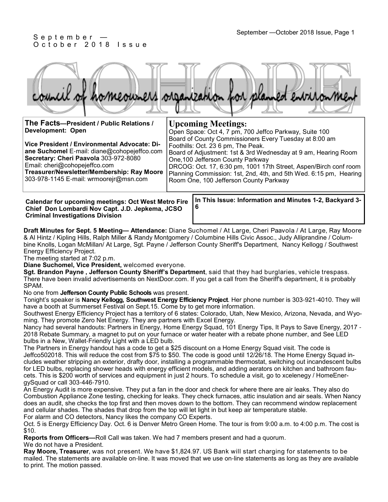#### September —October 2018 Issue, Page 1 September —October 2018 Issue, Page 1 O c t o b e r 2018 Issue

ÆЛ

| The Facts-President / Public Relations /<br>Development: Open<br>Vice President / Environmental Advocate: Di-<br>ane Suchomel E-mail: diane@cohopejeffco.com<br>Secretary: Cheri Paavola 303-972-8080<br>Email: cheri@cohopejeffco.com<br>Treasurer/Newsletter/Membership: Ray Moore<br>303-978-1145 E-mail: wrmoorejr@msn.com | <b>Upcoming Meetings:</b><br>Open Space: Oct 4, 7 pm, 700 Jeffco Parkway, Suite 100<br>Board of County Commissioners Every Tuesday at 8:00 am<br>Foothills: Oct. 23 6 pm, The Peak.<br>Board of Adjustment: 1st & 3rd Wednesday at 9 am, Hearing Room<br>One, 100 Jefferson County Parkway<br>DRCOG: Oct. 17, 6:30 pm, 1001 17th Street, Aspen/Birch conf room<br>Planning Commission: 1st, 2nd, 4th, and 5th Wed. 6:15 pm, Hearing<br>Room One, 100 Jefferson County Parkway |
|--------------------------------------------------------------------------------------------------------------------------------------------------------------------------------------------------------------------------------------------------------------------------------------------------------------------------------|-------------------------------------------------------------------------------------------------------------------------------------------------------------------------------------------------------------------------------------------------------------------------------------------------------------------------------------------------------------------------------------------------------------------------------------------------------------------------------|
| Calondar for uncoming mootings: Oct Wost Motro Fire                                                                                                                                                                                                                                                                            | In This Issue: Information and Minutes 1-2, Backyard 3-                                                                                                                                                                                                                                                                                                                                                                                                                       |

**Calendar for upcoming meetings: Oct West Metro Fire Chief Don Lombardi Nov Capt. J.D. Jepkema, JCSO Criminal Investigations Division** 

**In This Issue: Information and Minutes 1-2, Backyard 3- 6** 

**Draft Minutes for Sept. 5 Meeting— Attendance:** Diane Suchomel / At Large, Cheri Paavola / At Large, Ray Moore & Al Hintz / Kipling Hills, Ralph Miller & Randy Montgomery / Columbine Hills Civic Assoc., Judy Alliprandine / Columbine Knolls, Logan McMillan/ At Large, Sgt. Payne / Jefferson County Sheriff's Department, Nancy Kellogg / Southwest Energy Efficiency Project.

The meeting started at 7:02 p.m.

**Diane Suchomel, Vice President,** welcomed everyone.

**Sgt. Brandon Payne , Jefferson County Sheriff's Department**, said that they had burglaries, vehicle trespass. There have been invalid advertisements on NextDoor.com. If you get a call from the Sheriff's department, it is probably SPAM.

No one from **Jefferson County Public Schools** was present.

Tonight's speaker is **Nancy Kellogg, Southwest Energy Efficiency Project**. Her phone number is 303-921-4010. They will have a booth at Summerset Festival on Sept.15. Come by to get more information.

Southwest Energy Efficiency Project has a territory of 6 states: Colorado, Utah, New Mexico, Arizona, Nevada, and Wyoming. They promote Zero Net Energy. They are partners with Excel Energy.

Nancy had several handouts: Partners in Energy, Home Energy Squad, 101 Energy Tips, It Pays to Save Energy, 2017 - 2018 Rebate Summary, a magnet to put on your furnace or water heater with a rebate phone number, and See LED bulbs in a New, Wallet-Friendly Light with a LED bulb.

The Partners in Energy handout has a code to get a \$25 discount on a Home Energy Squad visit. The code is Jeffco502018. This will reduce the cost from \$75 to \$50. The code is good until 12/26/18. The Home Energy Squad includes weather stripping an exterior, drafty door, installing a programmable thermostat, switching out incandescent bulbs for LED bulbs, replacing shower heads with energy efficient models, and adding aerators on kitchen and bathroom faucets. This is \$200 worth of services and equipment in just 2 hours. To schedule a visit, go to xcelenegy / HomeEnergySquad or call 303-446-7910.

An Energy Audit is more expensive. They put a fan in the door and check for where there are air leaks. They also do Combustion Appliance Zone testing, checking for leaks. They check furnaces, attic insulation and air seals. When Nancy does an audit, she checks the top first and then moves down to the bottom. They can recommend window replacement and cellular shades. The shades that drop from the top will let light in but keep air temperature stable. For alarm and CO detectors, Nancy likes the company CO Experts.

Oct. 5 is Energy Efficiency Day. Oct. 6 is Denver Metro Green Home. The tour is from 9:00 a.m. to 4:00 p.m. The cost is \$10.

**Reports from Officers—**Roll Call was taken. We had 7 members present and had a quorum.

We do not have a President.

**Ray Moore, Treasurer**, was not present. We have \$1,824.97. US Bank will start charging for statements to be mailed. The statements are available on-line. It was moved that we use on-line statements as long as they are available to print. The motion passed.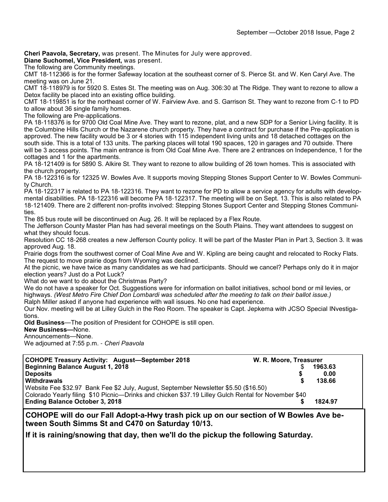**Cheri Paavola, Secretary,** was present. The Minutes for July were approved.

**Diane Suchomel, Vice President,** was present.

The following are Community meetings.

CMT 18-112366 is for the former Safeway location at the southeast corner of S. Pierce St. and W. Ken Caryl Ave. The meeting was on June 21.

CMT 18-118979 is for 5920 S. Estes St. The meeting was on Aug. 306:30 at The Ridge. They want to rezone to allow a Detox facility be placed into an existing office building.

CMT 18-119851 is for the northeast corner of W. Fairview Ave. and S. Garrison St. They want to rezone from C-1 to PD to allow about 36 single family homes.

The following are Pre-applications.

PA 18-118376 is for 9700 Old Coal Mine Ave. They want to rezone, plat, and a new SDP for a Senior Living facility. It is the Columbine Hills Church or the Nazarene church property. They have a contract for purchase if the Pre-application is approved. The new facility would be 3 or 4 stories with 115 independent living units and 18 detached cottages on the south side. This is a total of 133 units. The parking places will total 190 spaces, 120 in garages and 70 outside. There will be 3 access points. The main entrance is from Old Coal Mine Ave. There are 2 entrances on Independence, 1 for the cottages and 1 for the apartments.

PA 18-121409 is for 5890 S. Alkire St. They want to rezone to allow building of 26 town homes. This is associated with the church property.

PA 18-122316 is for 12325 W. Bowles Ave. It supports moving Stepping Stones Support Center to W. Bowles Community Church.

PA 18-122317 is related to PA 18-122316. They want to rezone for PD to allow a service agency for adults with developmental disabilities. PA 18-122316 will become PA 18-122317. The meeting will be on Sept. 13. This is also related to PA 18-121409. There are 2 different non-profits involved: Stepping Stones Support Center and Stepping Stones Communities.

The 85 bus route will be discontinued on Aug. 26. It will be replaced by a Flex Route.

The Jefferson County Master Plan has had several meetings on the South Plains. They want attendees to suggest on what they should focus.

Resolution CC 18-268 creates a new Jefferson County policy. It will be part of the Master Plan in Part 3, Section 3. It was approved Aug. 18.

Prairie dogs from the southwest corner of Coal Mine Ave and W. Kipling are being caught and relocated to Rocky Flats. The request to move prairie dogs from Wyoming was declined.

At the picnic, we have twice as many candidates as we had participants. Should we cancel? Perhaps only do it in major election years? Just do a Pot Luck?

What do we want to do about the Christmas Party?

We do not have a speaker for Oct. Suggestions were for information on ballot initiatives, school bond or mil levies, or highways. *(West Metro Fire Chief Don Lombardi was scheduled after the meeting to talk on their ballot issue.)*

Ralph Miller asked if anyone had experience with wall issues. No one had experience.

Our Nov. meeting will be at Lilley Gulch in the Reo Room. The speaker is Capt. Jepkema with JCSO Special INvestigations.

**Old Business**—The position of President for COHOPE is still open.

**New Business—**None.

Announcements—None.

We adjourned at 7:55 p.m. - *Cheri Paavola*

| <b>COHOPE Treasury Activity: August-September 2018</b>                                              | W. R. Moore, Treasurer |         |  |  |
|-----------------------------------------------------------------------------------------------------|------------------------|---------|--|--|
| <b>Beginning Balance August 1, 2018</b>                                                             |                        | 1963.63 |  |  |
| <b>Deposits</b>                                                                                     |                        | 0.00    |  |  |
| <b>Withdrawals</b>                                                                                  |                        | 138.66  |  |  |
| Website Fee \$32.97 Bank Fee \$2 July, August, September Newsletter \$5.50 (\$16.50)                |                        |         |  |  |
| Colorado Yearly filing \$10 Picnic—Drinks and chicken \$37.19 Lilley Gulch Rental for November \$40 |                        |         |  |  |
| <b>Ending Balance October 3, 2018</b>                                                               |                        | 1824.97 |  |  |

**COHOPE will do our Fall Adopt-a-Hwy trash pick up on our section of W Bowles Ave between South Simms St and C470 on Saturday 10/13.**

**If it is raining/snowing that day, then we'll do the pickup the following Saturday.**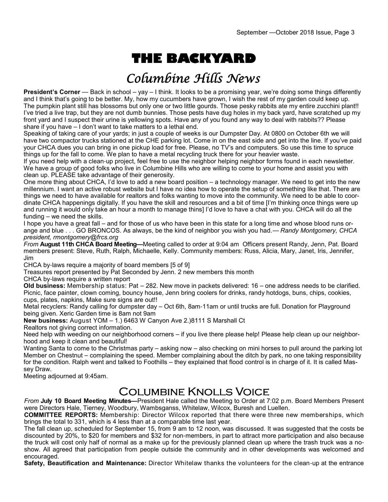# **THE BACKYARD**

## Columbine Hills News

**President's Corner** — Back in school – yay – I think. It looks to be a promising year, we're doing some things differently and I think that's going to be better. My, how my cucumbers have grown, I wish the rest of my garden could keep up. The pumpkin plant still has blossoms but only one or two little gourds. Those pesky rabbits ate my entire zucchini plant!! I've tried a live trap, but they are not dumb bunnies. Those pests have dug holes in my back yard, have scratched up my front yard and I suspect their urine is yellowing spots. Have any of you found any way to deal with rabbits?? Please share if you have – I don't want to take matters to a lethal end.

Speaking of taking care of your yards; in just a couple of weeks is our Dumpster Day. At 0800 on October 6th we will have two compactor trucks stationed at the CHE parking lot. Come in on the east side and get into the line. If you've paid your CHCA dues you can bring in one pickup load for free. Please, no TV's and computers. So use this time to spruce things up for the fall to come. We plan to have a metal recycling truck there for your heavier waste.

If you need help with a clean-up project, feel free to use the neighbor helping neighbor forms found in each newsletter. We have a group of good folks who live in Columbine Hills who are willing to come to your home and assist you with clean up. PLEASE take advantage of their generosity.

One more thing about CHCA, I'd love to add a new board position – a technology manager. We need to get into the new millennium. I want an active robust website but I have no idea how to operate the setup of something like that. There are things we need to have available for realtors and folks wanting to move into the community. We need to be able to coordinate CHCA happenings digitally. If you have the skill and resources and a bit of time [I'm thinking once things were up and running it would only take an hour a month to manage thins] I'd love to have a chat with you. CHCA will do all the funding – we need the skills.

I hope you have a great fall – and for those of us who have been in this state for a long time and whose blood runs orange and blue . . . GO BRONCOS. As always, be the kind of neighbor you wish you had.— *Randy Montgomery, CHCA president, rmontgomery@frcs.org*

*From* **August 11th CHCA Board Meeting—**Meeting called to order at 9:04 am Officers present Randy, Jenn, Pat. Board members present: Steve, Ruth, Ralph, Michaelle, Kelly. Community members: Russ, Alicia, Mary, Janet, Iris, Jennifer, Jim

CHCA by-laws require a majority of board members [5 of 9]

Treasures report presented by Pat Seconded by Jenn. 2 new members this month

CHCA by-laws require a written report

**Old business:** Membership status: Pat – 282. New move in packets delivered: 16 – one address needs to be clarified. Picnic, face painter, clown coming, bouncy house, Jenn bring coolers for drinks, randy hotdogs, buns, chips, cookies, cups, plates, napkins, Make sure signs are out!!

Metal recyclers: Randy calling for dumpster day – Oct 6th, 8am-11am or until trucks are full. Donation for Playground being given. Xeric Garden time is 8am not 9am

**New business:** August YOM – 1.) 6463 W Canyon Ave 2.)8111 S Marshall Ct

Realtors not giving correct information.

Need help with weeding on our neighborhood corners – if you live there please help! Please help clean up our neighborhood and keep it clean and beautiful!

Wanting Santa to come to the Christmas party – asking now – also checking on mini horses to pull around the parking lot Member on Chestnut – complaining the speed. Member complaining about the ditch by park, no one taking responsibility for the condition. Ralph went and talked to Foothills – they explained that flood control is in charge of it. It is called Massey Draw.

Meeting adjourned at 9:45am.

### Columbine Knolls Voice

*From* **July 10 Board Meeting Minutes—**President Hale called the Meeting to Order at 7:02 p.m. Board Members Present were Directors Hale, Tierney, Woodbury, Wambsganss, Whitelaw, Wilcox, Buresh and Luellen.

**COMMITTEE REPORTS:** Membership: Director Wilcox reported that there were three new memberships, which brings the total to 331, which is 4 less than at a comparable time last year.

The fall clean up, scheduled for September 15, from 9 am to 12 noon, was discussed. It was suggested that the costs be discounted by 20%, to \$20 for members and \$32 for non-members, in part to attract more participation and also because the truck will cost only half of normal as a make up for the previously planned clean up where the trash truck was a noshow. All agreed that participation from people outside the community and in other developments was welcomed and encouraged.

**Safety, Beautification and Maintenance:** Director Whitelaw thanks the volunteers for the clean-up at the entrance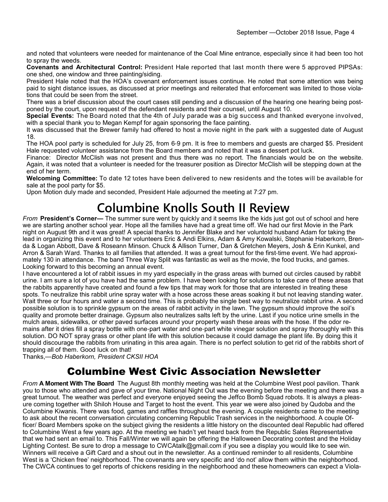and noted that volunteers were needed for maintenance of the Coal Mine entrance, especially since it had been too hot to spray the weeds.

**Covenants and Architectural Control:** President Hale reported that last month there were 5 approved PIPSAs: one shed, one window and three painting/siding.

President Hale noted that the HOA's covenant enforcement issues continue. He noted that some attention was being paid to sight distance issues, as discussed at prior meetings and reiterated that enforcement was limited to those violations that could be seen from the street.

There was a brief discussion about the court cases still pending and a discussion of the hearing one hearing being postponed by the court, upon request of the defendant residents and their counsel, until August 10.

**Special Events:** The Board noted that the 4th of July parade was a big success and thanked everyone involved, with a special thank you to Megan Kempf for again sponsoring the face painting.

It was discussed that the Brewer family had offered to host a movie night in the park with a suggested date of August 18.

The HOA pool party is scheduled for July 25, from 6-9 pm. It is free to members and guests are charged \$5. President Hale requested volunteer assistance from the Board members and noted that it was a dessert pot luck.

Finance: Director McClish was not present and thus there was no report. The financials would be on the website. Again, it was noted that a volunteer is needed for the treasurer position as Director McClish will be stepping down at the end of her term.

**Welcoming Committee:** To date 12 totes have been delivered to new residents and the totes will be available for sale at the pool party for \$5.

Upon Motion duly made and seconded, President Hale adjourned the meeting at 7:27 pm.

## **Columbine Knolls South II Review**

*From* **President's Corner—** The summer sure went by quickly and it seems like the kids just got out of school and here we are starting another school year. Hope all the families have had a great time off. We had our first Movie in the Park night on August 9th and it was great! A special thanks to Jennifer Blake and her voluntold husband Adam for taking the lead in organizing this event and to her volunteers Eric & Andi Elkins, Adam & Amy Kowalski, Stephanie Haberkorn, Brenda & Logan Abbott, Dave & Roseann Minson. Chuck & Allison Turner, Dan & Gretchen Meyers, Josh & Erin Kunkel, and Arron & Sarah Ward. Thanks to all families that attended. It was a great turnout for the first-time event. We had approximately 130 in attendance. The band Three Way Split was fantastic as well as the movie, the food trucks, and games. Looking forward to this becoming an annual event.

I have encountered a lot of rabbit issues in my yard especially in the grass areas with burned out circles caused by rabbit urine. I am sure a lot of you have had the same problem. I have been looking for solutions to take care of these areas that the rabbits apparently have created and found a few tips that may work for those that are interested in treating these spots. To neutralize this rabbit urine spray water with a hose across these areas soaking it but not leaving standing water. Wait three or four hours and water a second time. This is probably the single best way to neutralize rabbit urine. A second possible solution is to sprinkle gypsum on the areas of rabbit activity in the lawn. The gypsum should improve the soil's quality and promote better drainage. Gypsum also neutralizes salts left by the urine. Last if you notice urine smells in the mulch areas, sidewalks, or other paved surfaces around your property wash these areas with the hose. If the odor remains after it dries fill a spray bottle with one-part water and one-part white vinegar solution and spray thoroughly with this solution. DO NOT spray grass or other plant life with this solution because it could damage the plant life. By doing this it should discourage the rabbits from urinating in this area again. There is no perfect solution to get rid of the rabbits short of trapping all of them. Good luck on that!

Thanks,—*Bob Haberkorn, President CKSII HOA*

### Columbine West Civic Association Newsletter

*From* **A Moment With The Board** The August 8th monthly meeting was held at the Columbine West pool pavilion. Thank you to those who attended and gave of your time. National Night Out was the evening before the meeting and there was a great turnout. The weather was perfect and everyone enjoyed seeing the Jeffco Bomb Squad robots. It is always a pleasure coming together with Shiloh House and Target to host the event. This year we were also joined by Qudoba and the Columbine Kiwanis. There was food, games and raffles throughout the evening. A couple residents came to the meeting to ask about the recent conversation circulating concerning Republic Trash services in the neighborhood. A couple Officer/ Board Members spoke on the subject giving the residents a little history on the discounted deal Republic had offered to Columbine West a few years ago. At the meeting we hadn't yet heard back from the Republic Sales Representative that we had sent an email to. This Fall/Winter we will again be offering the Halloween Decorating contest and the Holiday Lighting Contest. Be sure to drop a message to CWCAtalk@gmail.com if you see a display you would like to see win. Winners will receive a Gift Card and a shout out in the newsletter. As a continued reminder to all residents, Columbine West is a 'Chicken free' neighborhood. The covenants are very specific and 'do not' allow them within the neighborhood. The CWCA continues to get reports of chickens residing in the neighborhood and these homeowners can expect a Viola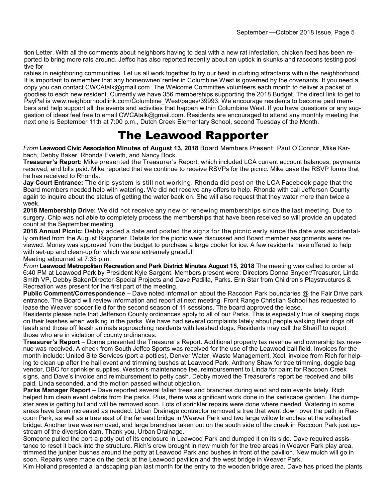tion Letter. With all the comments about neighbors having to deal with a new rat infestation, chicken feed has been reported to bring more rats around. Jeffco has also reported recently about an uptick in skunks and raccoons testing positive for

rabies in neighboring communities. Let us all work together to try our best in curbing attractants within the neighborhood. It is important to remember that any homeowner/ renter in Columbine West is governed by the covenants. If you need a copy you can contact CWCAtalk@gmail.com. The Welcome Committee volunteers each month to deliver a packet of goodies to each new resident. Currently we have 356 memberships supporting the 2018 Budget. The direct link to get to PayPal is www.neighborhoodlink.com/Columbine\_West/pages/39993. We encourage residents to become paid members and help support all the events and activities that happen within Columbine West. If you have questions or any suggestion of ideas feel free to email CWCAtalk@gmail.com. Residents are encouraged to attend any monthly meeting the next one is September 11th at 7:00 p.m., Dutch Creek Elementary School, second Tuesday of the Month.

### The Leawood Rapporter

*From* **Leawood Civic Association Minutes of August 13, 2018** Board Members Present: Paul O'Connor, Mike Karbach, Debby Baker, Rhonda Eveleth, and Nancy Bock.

**Treasurer's Report:** Mike presented the Treasurer's Report, which included LCA current account balances, payments received, and bills paid. Mike reported that we continue to receive RSVPs for the picnic. Mike gave the RSVP forms that he has received to Rhonda.

**Jay Court Entrance:** The drip system is still not working. Rhonda did post on the LCA Facebook page that the Board members needed help with watering. We did not receive any offers to help. Rhonda with call Jefferson County again to inquire about the status of getting the water back on. She will also request that they water more than twice a week.

**2018 Membership Drive:** We did not receive any new or renewing memberships since the last meeting. Due to surgery, Chip was not able to completely process the memberships that have been received so will provide an updated count at the September meeting.

**2018 Annual Picnic:** Debby added a date and posted the signs for the picnic early since the date was accidentally omitted from the August Rapporter. Details for the picnic were discussed and Board member assignments were reviewed. Money was approved from the budget to purchase a large cooler for ice. A few residents have offered to help with set-up and clean-up for which we are extremely grateful! Meeting adjourned at 7:35 p.m.

*From* **Leawood Metropolitan Recreation and Park District Minutes August 15, 2018** The meeting was called to order at 6:40 PM at Leawood Park by President Kyle Sargent. Members present were: Directors Donna Snyder/Treasurer, Linda Smith VP, Debby Baker/Director-Special Projects and Dave Padilla, Parks. Erin Star from Children's Playstructures &

Recreation was present for the first part of the meeting. **Public Comment/Correspondence** – Dave noted information about the Raccoon Park boundaries @ the Fair Drive park entrance. The Board will review information and report at next meeting. Front Range Christian School has requested to

lease the Weaver soccer field for the second season of 11 sessions. The board approved the lease. Residents please note that Jefferson County ordinances apply to all of our Parks. This is especially true of keeping dogs on their leashes when walking in the parks. We have had several complaints lately about people walking their dogs off leash and those off leash animals approaching residents with leashed dogs. Residents may call the Sheriff to report those who are in violation of county ordinances.

**Treasurer's Report** – Donna presented the Treasurer's Report. Additional property tax revenue and ownership tax revenue was received. A check from South Jeffco Sports was received for the use of the Leawood ball field. Invoices for the month include: United Site Services (port-a-potties), Denver Water, Waste Management, Xcel, invoice from Rich for helping to clean up after the hail event and trimming bushes at Leawood Park, Anthony Shaw for tree trimming, doggie bag vendor, DBC for sprinkler supplies, Weston's maintenance fee, reimbursement to Linda for paint for Raccoon Creek signs, and Dave's invoice and reimbursement to petty cash. Debby moved the Treasurer's report be received and bills paid, Linda seconded, and the motion passed without objection.

**Parks Manager Report** – Dave reported several fallen trees and branches during wind and rain events lately. Rich helped him clean event debris from the parks. Plus, there was significant work done in the xeriscape garden. The dumpster area is getting full and will be removed soon. Lots of sprinkler repairs were done where needed. Watering in some areas have been increased as needed. Urban Drainage contractor removed a tree that went down over the path in Raccoon Park, as well as a tree east of the far east bridge in Weaver Park and two large willow branches at the volleyball bridge. Another tree was removed, and large branches taken out on the south side of the creek in Raccoon Park just upstream of the diversion dam. Thank you, Urban Drainage.

Someone pulled the port-a-potty out of its enclosure in Leawood Park and dumped it on its side. Dave required assistance to reset it back into the structure. Rich's crew brought in new mulch for the tree areas in Weaver Park play area, trimmed the juniper bushes around the potty at Leawood Park and bushes in front of the pavilion. New mulch will go in soon. Repairs were made on the deck at the Leawood pavilion and the west bridge in Weaver Park.

Kim Holland presented a landscaping plan last month for the entry to the wooden bridge area. Dave has priced the plants